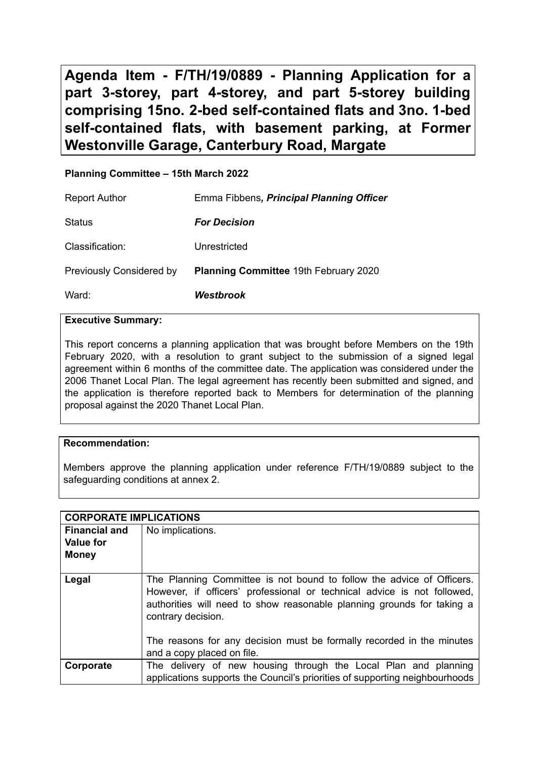**Agenda Item - F/TH/19/0889 - Planning Application for a part 3-storey, part 4-storey, and part 5-storey building comprising 15no. 2-bed self-contained flats and 3no. 1-bed self-contained flats, with basement parking, at Former Westonville Garage, Canterbury Road, Margate**

# **Planning Committee – 15th March 2022**

| <b>Report Author</b>            | Emma Fibbens, Principal Planning Officer |
|---------------------------------|------------------------------------------|
| Status                          | <b>For Decision</b>                      |
| Classification:                 | Unrestricted                             |
| <b>Previously Considered by</b> | Planning Committee 19th February 2020    |
| Ward:                           | <b>Westbrook</b>                         |

### **Executive Summary:**

This report concerns a planning application that was brought before Members on the 19th February 2020, with a resolution to grant subject to the submission of a signed legal agreement within 6 months of the committee date. The application was considered under the 2006 Thanet Local Plan. The legal agreement has recently been submitted and signed, and the application is therefore reported back to Members for determination of the planning proposal against the 2020 Thanet Local Plan.

# **Recommendation:**

Members approve the planning application under reference F/TH/19/0889 subject to the safeguarding conditions at annex 2.

|                      | <b>CORPORATE IMPLICATIONS</b>                                                                                                                                                                                                                    |  |  |
|----------------------|--------------------------------------------------------------------------------------------------------------------------------------------------------------------------------------------------------------------------------------------------|--|--|
| <b>Financial and</b> | No implications.                                                                                                                                                                                                                                 |  |  |
| <b>Value for</b>     |                                                                                                                                                                                                                                                  |  |  |
| <b>Money</b>         |                                                                                                                                                                                                                                                  |  |  |
|                      |                                                                                                                                                                                                                                                  |  |  |
| Legal                | The Planning Committee is not bound to follow the advice of Officers.<br>However, if officers' professional or technical advice is not followed,<br>authorities will need to show reasonable planning grounds for taking a<br>contrary decision. |  |  |
|                      | The reasons for any decision must be formally recorded in the minutes<br>and a copy placed on file.                                                                                                                                              |  |  |
| Corporate            | The delivery of new housing through the Local Plan and planning<br>applications supports the Council's priorities of supporting neighbourhoods                                                                                                   |  |  |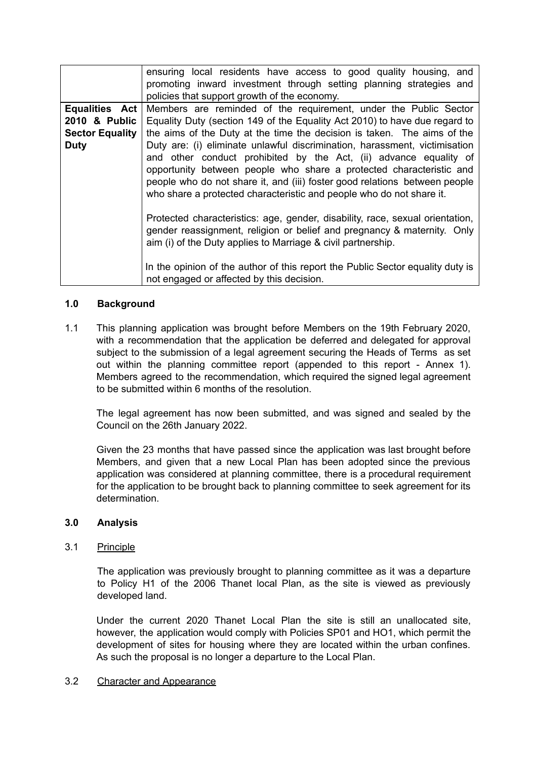|                        | ensuring local residents have access to good quality housing, and<br>promoting inward investment through setting planning strategies and<br>policies that support growth of the economy.                                                                                                                                                                                     |
|------------------------|------------------------------------------------------------------------------------------------------------------------------------------------------------------------------------------------------------------------------------------------------------------------------------------------------------------------------------------------------------------------------|
| <b>Equalities Act</b>  | Members are reminded of the requirement, under the Public Sector                                                                                                                                                                                                                                                                                                             |
| 2010 & Public          | Equality Duty (section 149 of the Equality Act 2010) to have due regard to                                                                                                                                                                                                                                                                                                   |
| <b>Sector Equality</b> | the aims of the Duty at the time the decision is taken. The aims of the                                                                                                                                                                                                                                                                                                      |
| <b>Duty</b>            | Duty are: (i) eliminate unlawful discrimination, harassment, victimisation<br>and other conduct prohibited by the Act, (ii) advance equality of<br>opportunity between people who share a protected characteristic and<br>people who do not share it, and (iii) foster good relations between people<br>who share a protected characteristic and people who do not share it. |
|                        | Protected characteristics: age, gender, disability, race, sexual orientation,<br>gender reassignment, religion or belief and pregnancy & maternity. Only<br>aim (i) of the Duty applies to Marriage & civil partnership.                                                                                                                                                     |
|                        | In the opinion of the author of this report the Public Sector equality duty is<br>not engaged or affected by this decision.                                                                                                                                                                                                                                                  |

# **1.0 Background**

1.1 This planning application was brought before Members on the 19th February 2020, with a recommendation that the application be deferred and delegated for approval subject to the submission of a legal agreement securing the Heads of Terms as set out within the planning committee report (appended to this report - Annex 1). Members agreed to the recommendation, which required the signed legal agreement to be submitted within 6 months of the resolution.

The legal agreement has now been submitted, and was signed and sealed by the Council on the 26th January 2022.

Given the 23 months that have passed since the application was last brought before Members, and given that a new Local Plan has been adopted since the previous application was considered at planning committee, there is a procedural requirement for the application to be brought back to planning committee to seek agreement for its determination.

# **3.0 Analysis**

# 3.1 Principle

The application was previously brought to planning committee as it was a departure to Policy H1 of the 2006 Thanet local Plan, as the site is viewed as previously developed land.

Under the current 2020 Thanet Local Plan the site is still an unallocated site, however, the application would comply with Policies SP01 and HO1, which permit the development of sites for housing where they are located within the urban confines. As such the proposal is no longer a departure to the Local Plan.

### 3.2 Character and Appearance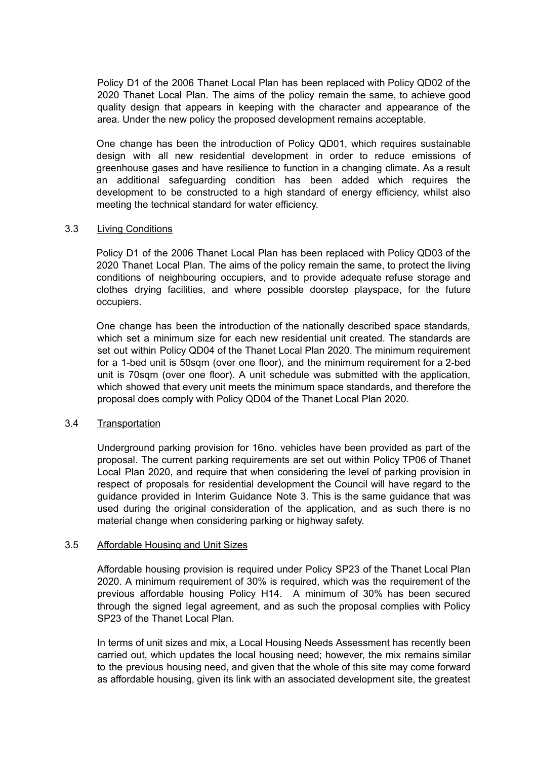Policy D1 of the 2006 Thanet Local Plan has been replaced with Policy QD02 of the 2020 Thanet Local Plan. The aims of the policy remain the same, to achieve good quality design that appears in keeping with the character and appearance of the area. Under the new policy the proposed development remains acceptable.

One change has been the introduction of Policy QD01, which requires sustainable design with all new residential development in order to reduce emissions of greenhouse gases and have resilience to function in a changing climate. As a result an additional safeguarding condition has been added which requires the development to be constructed to a high standard of energy efficiency, whilst also meeting the technical standard for water efficiency.

### 3.3 Living Conditions

Policy D1 of the 2006 Thanet Local Plan has been replaced with Policy QD03 of the 2020 Thanet Local Plan. The aims of the policy remain the same, to protect the living conditions of neighbouring occupiers, and to provide adequate refuse storage and clothes drying facilities, and where possible doorstep playspace, for the future occupiers.

One change has been the introduction of the nationally described space standards, which set a minimum size for each new residential unit created. The standards are set out within Policy QD04 of the Thanet Local Plan 2020. The minimum requirement for a 1-bed unit is 50sqm (over one floor), and the minimum requirement for a 2-bed unit is 70sqm (over one floor). A unit schedule was submitted with the application, which showed that every unit meets the minimum space standards, and therefore the proposal does comply with Policy QD04 of the Thanet Local Plan 2020.

#### 3.4 Transportation

Underground parking provision for 16no. vehicles have been provided as part of the proposal. The current parking requirements are set out within Policy TP06 of Thanet Local Plan 2020, and require that when considering the level of parking provision in respect of proposals for residential development the Council will have regard to the guidance provided in Interim Guidance Note 3. This is the same guidance that was used during the original consideration of the application, and as such there is no material change when considering parking or highway safety.

#### 3.5 Affordable Housing and Unit Sizes

Affordable housing provision is required under Policy SP23 of the Thanet Local Plan 2020. A minimum requirement of 30% is required, which was the requirement of the previous affordable housing Policy H14. A minimum of 30% has been secured through the signed legal agreement, and as such the proposal complies with Policy SP23 of the Thanet Local Plan.

In terms of unit sizes and mix, a Local Housing Needs Assessment has recently been carried out, which updates the local housing need; however, the mix remains similar to the previous housing need, and given that the whole of this site may come forward as affordable housing, given its link with an associated development site, the greatest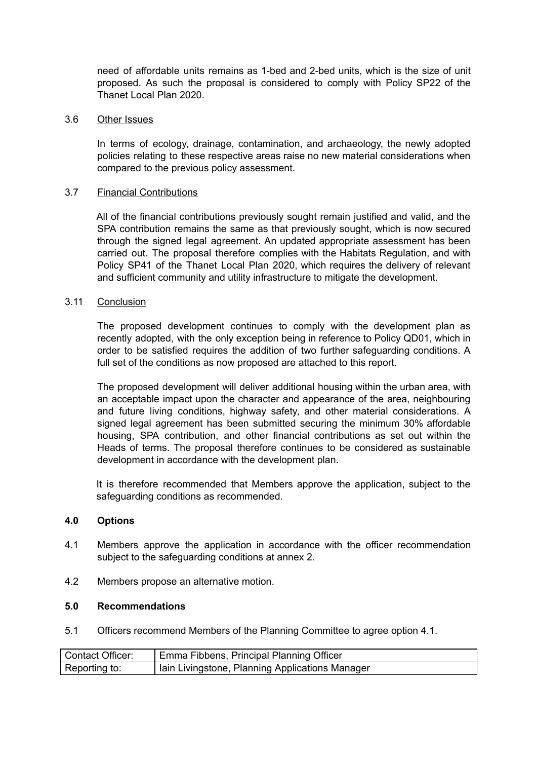need of affordable units remains as 1-bed and 2-bed units, which is the size of unit proposed. As such the proposal is considered to comply with Policy SP22 of the Thanet Local Plan 2020.

### 3.6 Other Issues

In terms of ecology, drainage, contamination, and archaeology, the newly adopted policies relating to these respective areas raise no new material considerations when compared to the previous policy assessment.

# 3.7 Financial Contributions

All of the financial contributions previously sought remain justified and valid, and the SPA contribution remains the same as that previously sought, which is now secured through the signed legal agreement. An updated appropriate assessment has been carried out. The proposal therefore complies with the Habitats Regulation, and with Policy SP41 of the Thanet Local Plan 2020, which requires the delivery of relevant and sufficient community and utility infrastructure to mitigate the development.

### 3.11 Conclusion

The proposed development continues to comply with the development plan as recently adopted, with the only exception being in reference to Policy QD01, which in order to be satisfied requires the addition of two further safeguarding conditions. A full set of the conditions as now proposed are attached to this report.

The proposed development will deliver additional housing within the urban area, with an acceptable impact upon the character and appearance of the area, neighbouring and future living conditions, highway safety, and other material considerations. A signed legal agreement has been submitted securing the minimum 30% affordable housing, SPA contribution, and other financial contributions as set out within the Heads of terms. The proposal therefore continues to be considered as sustainable development in accordance with the development plan.

It is therefore recommended that Members approve the application, subject to the safeguarding conditions as recommended.

### **4.0 Options**

- 4.1 Members approve the application in accordance with the officer recommendation subject to the safeguarding conditions at annex 2.
- 4.2 Members propose an alternative motion.

#### **5.0 Recommendations**

5.1 Officers recommend Members of the Planning Committee to agree option 4.1.

| <b>Contact Officer:</b> | Emma Fibbens, Principal Planning Officer        |
|-------------------------|-------------------------------------------------|
| Reporting to:           | Iain Livingstone, Planning Applications Manager |